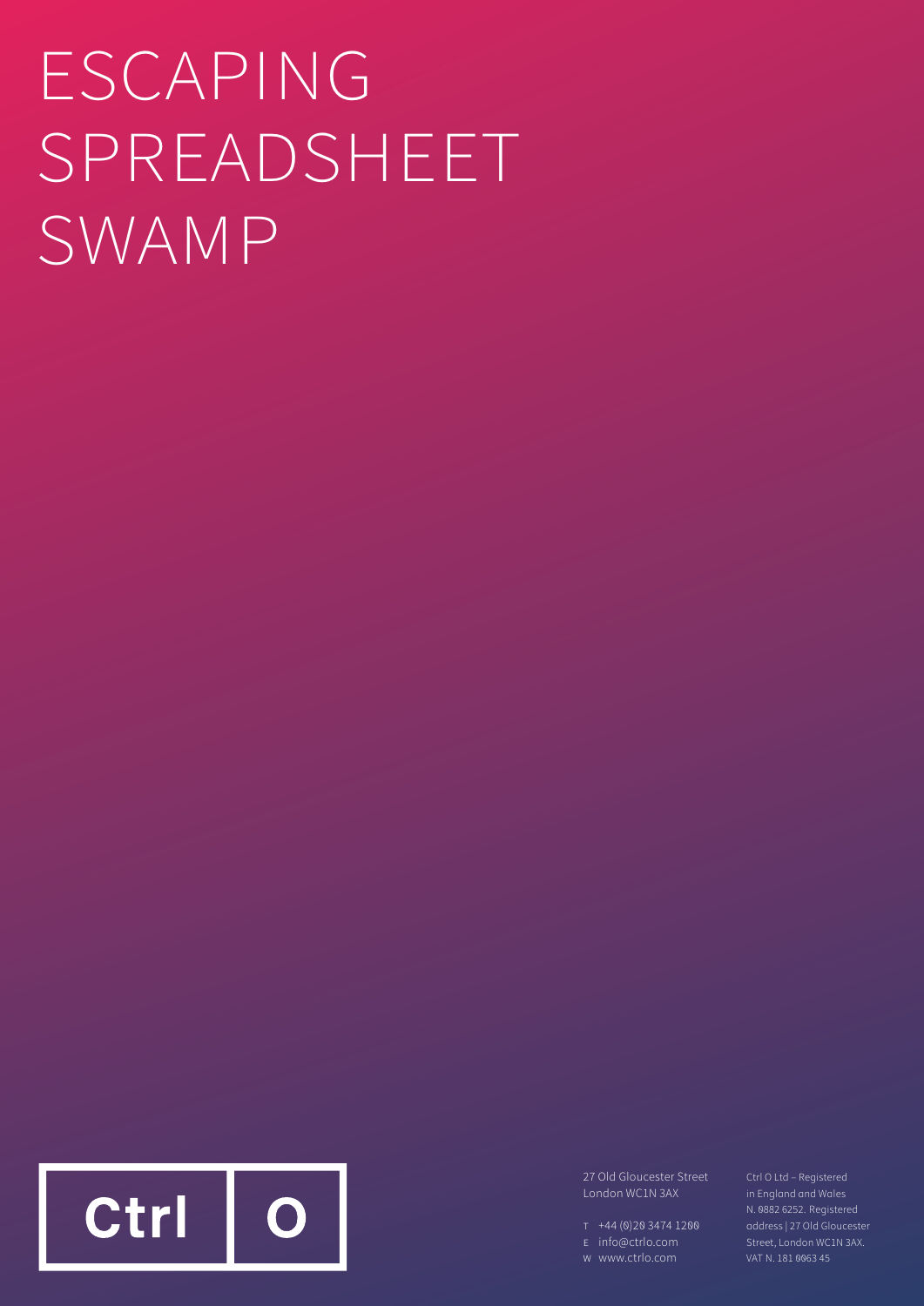# ESCAPING SPREADSHEET SWAMP



27 Old Gloucester Street London WC1N 3AX

- T +44 (0)20 3474 1200
- E info@ctrlo.com
- W www.ctrlo.com

Ctrl O Ltd – Registered in England and Wales N. 0882 6252. Registered Street, London WC1N 3AX. VAT N. 181 0063 45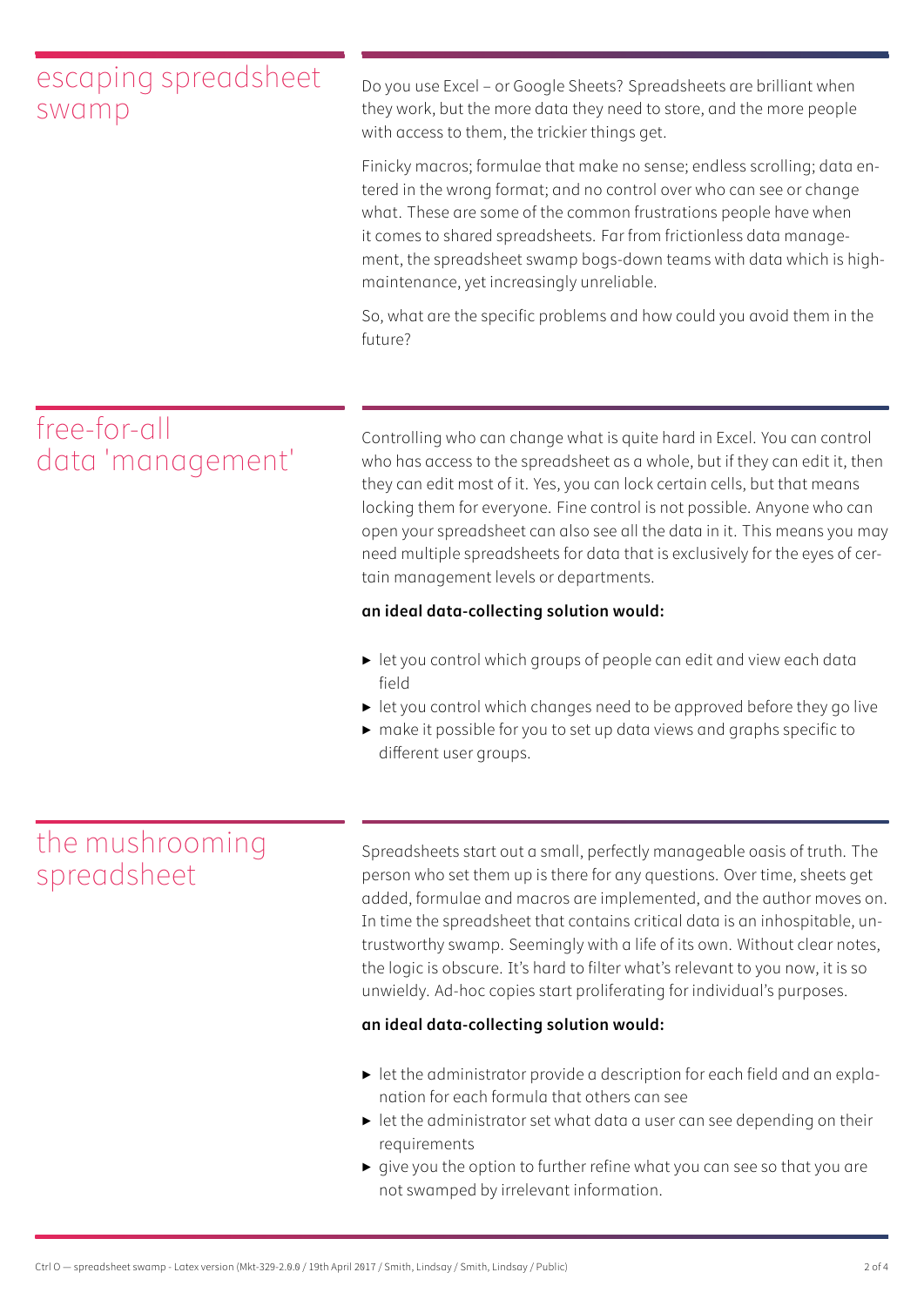## escaping spreadsheet swamp

Do you use Excel – or Google Sheets? Spreadsheets are brilliant when they work, but the more data they need to store, and the more people with access to them, the trickier things get.

Finicky macros; formulae that make no sense; endless scrolling; data entered in the wrong format; and no control over who can see or change what. These are some of the common frustrations people have when it comes to shared spreadsheets. Far from frictionless data management, the spreadsheet swamp bogs-down teams with data which is highmaintenance, yet increasingly unreliable.

So, what are the specific problems and how could you avoid them in the future?

# free-for-all data 'management'

Controlling who can change what is quite hard in Excel. You can control who has access to the spreadsheet as a whole, but if they can edit it, then they can edit most of it. Yes, you can lock certain cells, but that means locking them for everyone. Fine control is not possible. Anyone who can open your spreadsheet can also see all the data in it. This means you may need multiple spreadsheets for data that is exclusively for the eyes of certain management levels or departments.

## **an ideal data-collecting solution would:**

- ▶ let you control which groups of people can edit and view each data field
- ▶ let you control which changes need to be approved before they go live
- ▶ make it possible for you to set up data views and graphs specific to different user groups.

## the mushrooming spreadsheet

Spreadsheets start out a small, perfectly manageable oasis of truth. The person who set them up is there for any questions. Over time, sheets get added, formulae and macros are implemented, and the author moves on. In time the spreadsheet that contains critical data is an inhospitable, untrustworthy swamp. Seemingly with a life of its own. Without clear notes, the logic is obscure. It's hard to filter what's relevant to you now, it is so unwieldy. Ad-hoc copies start proliferating for individual's purposes.

#### **an ideal data-collecting solution would:**

- ▶ let the administrator provide a description for each field and an explanation for each formula that others can see
- ▶ let the administrator set what data a user can see depending on their requirements
- ▶ give you the option to further refine what you can see so that you are not swamped by irrelevant information.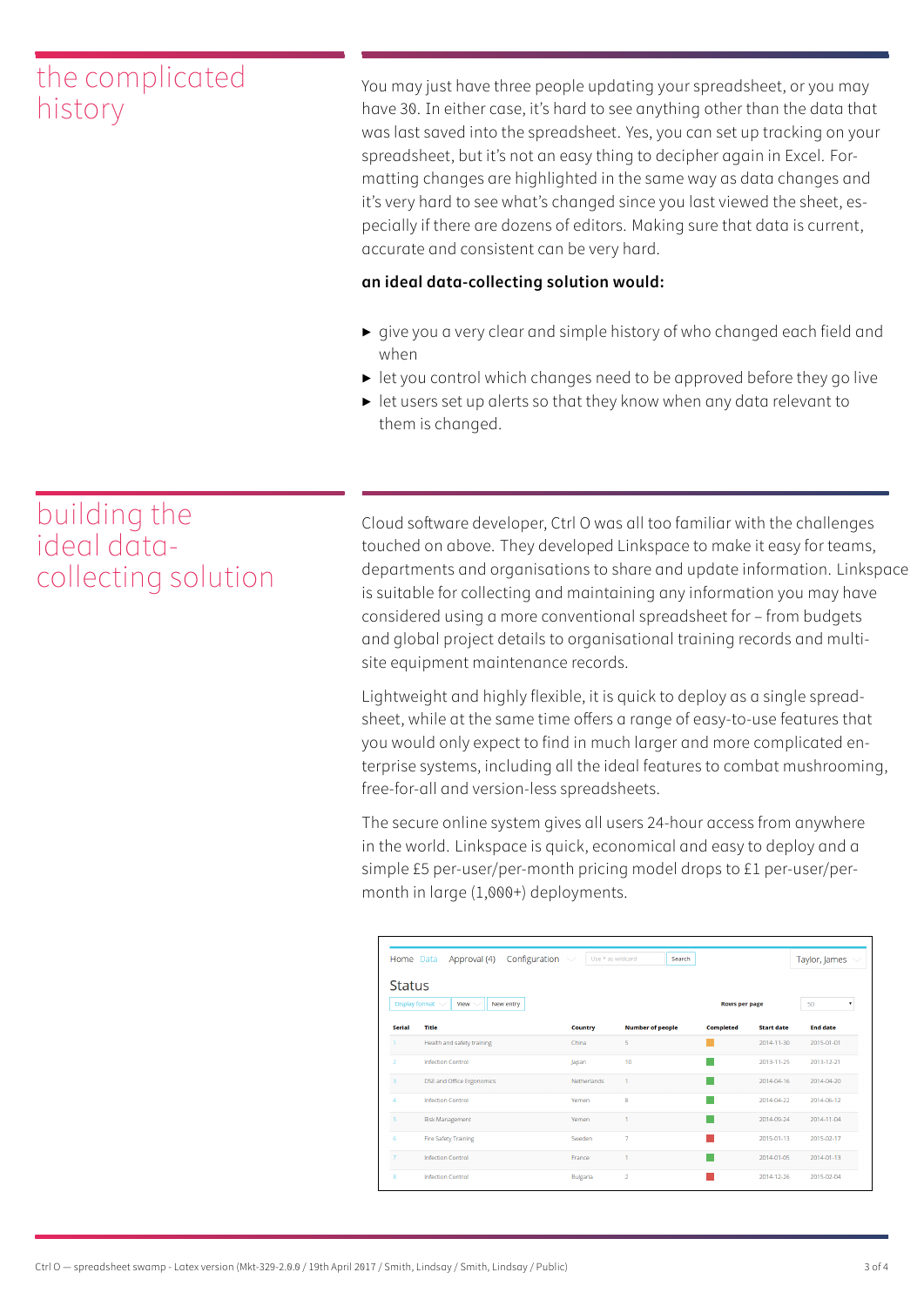## the complicated history

You may just have three people updating your spreadsheet, or you may have 30. In either case, it's hard to see anything other than the data that was last saved into the spreadsheet. Yes, you can set up tracking on your spreadsheet, but it's not an easy thing to decipher again in Excel. Formatting changes are highlighted in the same way as data changes and it's very hard to see what's changed since you last viewed the sheet, especially if there are dozens of editors. Making sure that data is current, accurate and consistent can be very hard.

### **an ideal data-collecting solution would:**

- ▶ give you a very clear and simple history of who changed each field and when
- ▶ let you control which changes need to be approved before they go live
- ▶ let users set up alerts so that they know when any data relevant to them is changed.

## building the ideal datacollecting solution

Cloud software developer, Ctrl O was all too familiar with the challenges touched on above. They developed Linkspace to make it easy for teams, departments and organisations to share and update information. Linkspace is suitable for collecting and maintaining any information you may have considered using a more conventional spreadsheet for – from budgets and global project details to organisational training records and multisite equipment maintenance records.

Lightweight and highly flexible, it is quick to deploy as a single spreadsheet, while at the same time offers a range of easy-to-use features that you would only expect to find in much larger and more complicated enterprise systems, including all the ideal features to combat mushrooming, free-for-all and version-less spreadsheets.

The secure online system gives all users 24-hour access from anywhere in the world. Linkspace is quick, economical and easy to deploy and a simple £5 per-user/per-month pricing model drops to £1 per-user/permonth in large (1,000+) deployments.

| Home Data                                                     | Configuration<br>Approval (4) | Use * as wildcard | Search                  |                      |                   | Taylor, James   |
|---------------------------------------------------------------|-------------------------------|-------------------|-------------------------|----------------------|-------------------|-----------------|
| <b>Status</b><br>Display format V<br>View $\vee$<br>New entry |                               |                   |                         | <b>Rows per page</b> |                   | 50<br>۰         |
| <b>Serial</b>                                                 | <b>Title</b>                  | <b>Country</b>    | <b>Number of people</b> | <b>Completed</b>     | <b>Start date</b> | <b>End date</b> |
| $\overline{1}$                                                | Health and safety training    | China             | 5                       |                      | 2014-11-30        | 2015-01-01      |
| $\mathcal{P}$                                                 | <b>Infection Control</b>      | Japan             | 10                      |                      | 2013-11-25        | 2013-12-21      |
| $\overline{\mathbf{3}}$                                       | DSE and Office Ergonomics     | Netherlands       | H.                      |                      | 2014-04-16        | 2014-04-20      |
| $\Delta$                                                      | <b>Infection Control</b>      | Yemen             | 8                       |                      | 2014-04-22        | 2014-06-12      |
| $\overline{5}$                                                | <b>Risk Management</b>        | Yemen             |                         |                      | 2014-09-24        | 2014-11-04      |
| 6                                                             | <b>Fire Safety Training</b>   | Sweden            | $\overline{7}$          |                      | 2015-01-13        | 2015-02-17      |
| $\overline{7}$                                                | <b>Infection Control</b>      | France            |                         |                      | 2014-01-05        | 2014-01-13      |
| 8                                                             | <b>Infection Control</b>      | Bulgaria          | $\overline{2}$          |                      | 2014-12-26        | 2015-02-04      |